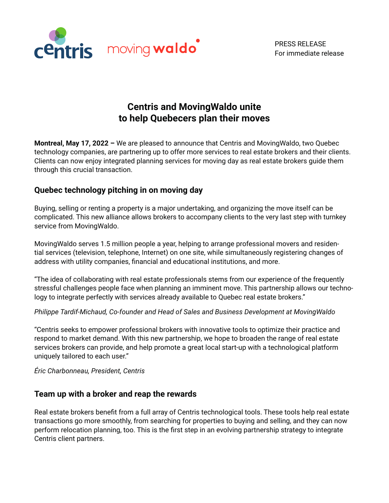

PRESS RELEASE For immediate release

# **Centris and MovingWaldo unite to help Quebecers plan their moves**

**Montreal, May 17, 2022 –** We are pleased to announce that Centris and MovingWaldo, two Quebec technology companies, are partnering up to offer more services to real estate brokers and their clients. Clients can now enjoy integrated planning services for moving day as real estate brokers guide them through this crucial transaction.

## **Quebec technology pitching in on moving day**

Buying, selling or renting a property is a major undertaking, and organizing the move itself can be complicated. This new alliance allows brokers to accompany clients to the very last step with turnkey service from MovingWaldo.

MovingWaldo serves 1.5 million people a year, helping to arrange professional movers and residential services (television, telephone, Internet) on one site, while simultaneously registering changes of address with utility companies, financial and educational institutions, and more.

"The idea of collaborating with real estate professionals stems from our experience of the frequently stressful challenges people face when planning an imminent move. This partnership allows our technology to integrate perfectly with services already available to Quebec real estate brokers."

*Philippe Tardif-Michaud, Co-founder and Head of Sales and Business Development at MovingWaldo*

"Centris seeks to empower professional brokers with innovative tools to optimize their practice and respond to market demand. With this new partnership, we hope to broaden the range of real estate services brokers can provide, and help promote a great local start-up with a technological platform uniquely tailored to each user."

*Éric Charbonneau, President, Centris*

### **Team up with a broker and reap the rewards**

Real estate brokers benefit from a full array of Centris technological tools. These tools help real estate transactions go more smoothly, from searching for properties to buying and selling, and they can now perform relocation planning, too. This is the first step in an evolving partnership strategy to integrate Centris client partners.